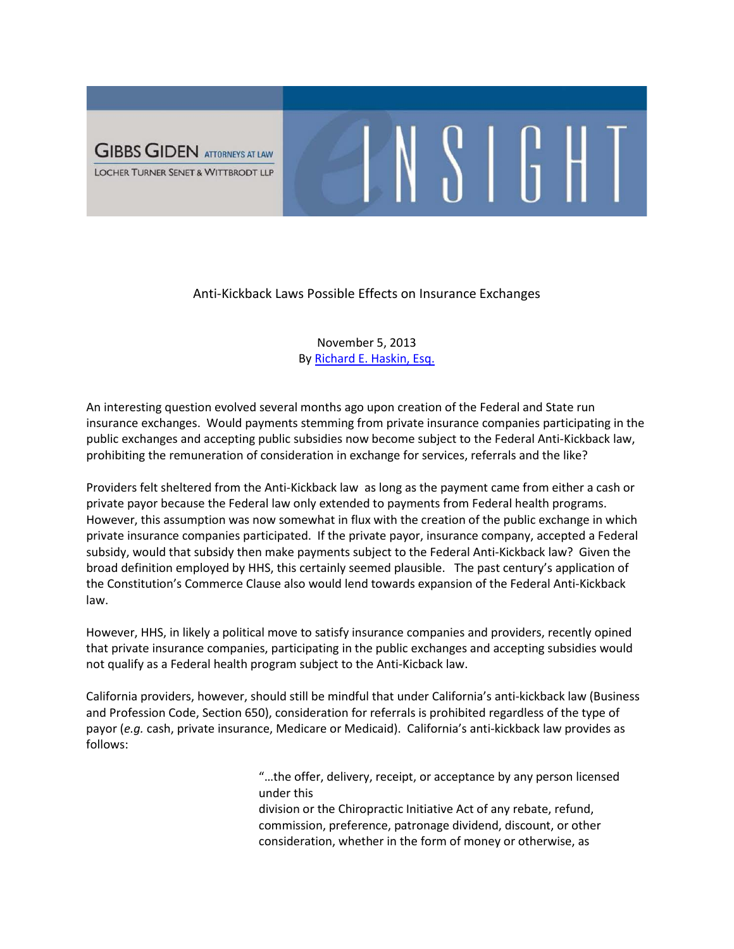

## Anti-Kickback Laws Possible Effects on Insurance Exchanges

 $N S$  |  $G$  H |

## November 5, 2013 By [Richard E. Haskin,](http://www.ggltsw.com/attorneys-1/richard-e-haskin) Esq.

An interesting question evolved several months ago upon creation of the Federal and State run insurance exchanges. Would payments stemming from private insurance companies participating in the public exchanges and accepting public subsidies now become subject to the Federal Anti-Kickback law, prohibiting the remuneration of consideration in exchange for services, referrals and the like?

Providers felt sheltered from the Anti-Kickback law as long as the payment came from either a cash or private payor because the Federal law only extended to payments from Federal health programs. However, this assumption was now somewhat in flux with the creation of the public exchange in which private insurance companies participated. If the private payor, insurance company, accepted a Federal subsidy, would that subsidy then make payments subject to the Federal Anti-Kickback law? Given the broad definition employed by HHS, this certainly seemed plausible. The past century's application of the Constitution's Commerce Clause also would lend towards expansion of the Federal Anti-Kickback law.

However, HHS, in likely a political move to satisfy insurance companies and providers, recently opined that private insurance companies, participating in the public exchanges and accepting subsidies would not qualify as a Federal health program subject to the Anti-Kicback law.

California providers, however, should still be mindful that under California's anti-kickback law (Business and Profession Code, Section 650), consideration for referrals is prohibited regardless of the type of payor (*e.g.* cash, private insurance, Medicare or Medicaid). California's anti-kickback law provides as follows:

> "…the offer, delivery, receipt, or acceptance by any person licensed under this

division or the Chiropractic Initiative Act of any rebate, refund, commission, preference, patronage dividend, discount, or other consideration, whether in the form of money or otherwise, as